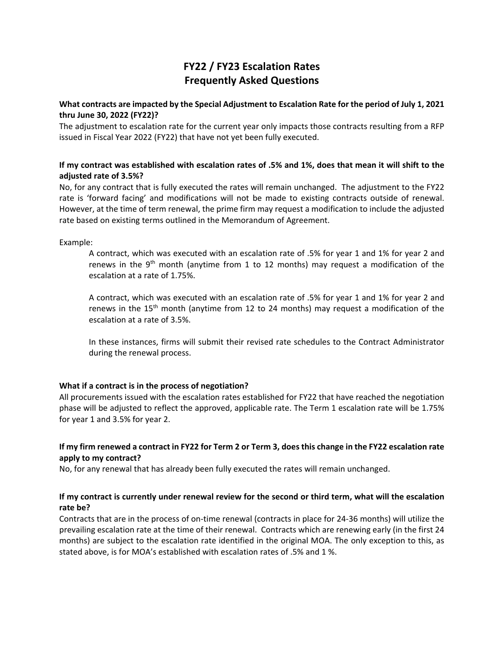# **FY22 / FY23 Escalation Rates Frequently Asked Questions**

### **What contracts are impacted by the Special Adjustment to Escalation Rate for the period of July 1, 2021 thru June 30, 2022 (FY22)?**

The adjustment to escalation rate for the current year only impacts those contracts resulting from a RFP issued in Fiscal Year 2022 (FY22) that have not yet been fully executed.

### **If my contract was established with escalation rates of .5% and 1%, does that mean it will shift to the adjusted rate of 3.5%?**

No, for any contract that is fully executed the rates will remain unchanged. The adjustment to the FY22 rate is 'forward facing' and modifications will not be made to existing contracts outside of renewal. However, at the time of term renewal, the prime firm may request a modification to include the adjusted rate based on existing terms outlined in the Memorandum of Agreement.

Example:

A contract, which was executed with an escalation rate of .5% for year 1 and 1% for year 2 and renews in the  $9<sup>th</sup>$  month (anytime from 1 to 12 months) may request a modification of the escalation at a rate of 1.75%.

A contract, which was executed with an escalation rate of .5% for year 1 and 1% for year 2 and renews in the 15<sup>th</sup> month (anytime from 12 to 24 months) may request a modification of the escalation at a rate of 3.5%.

In these instances, firms will submit their revised rate schedules to the Contract Administrator during the renewal process.

# **What if a contract is in the process of negotiation?**

All procurements issued with the escalation rates established for FY22 that have reached the negotiation phase will be adjusted to reflect the approved, applicable rate. The Term 1 escalation rate will be 1.75% for year 1 and 3.5% for year 2.

# **If my firm renewed a contract in FY22 for Term 2 or Term 3, does this change in the FY22 escalation rate apply to my contract?**

No, for any renewal that has already been fully executed the rates will remain unchanged.

# **If my contract is currently under renewal review for the second or third term, what will the escalation rate be?**

Contracts that are in the process of on‐time renewal (contracts in place for 24‐36 months) will utilize the prevailing escalation rate at the time of their renewal. Contracts which are renewing early (in the first 24 months) are subject to the escalation rate identified in the original MOA. The only exception to this, as stated above, is for MOA's established with escalation rates of .5% and 1 %.